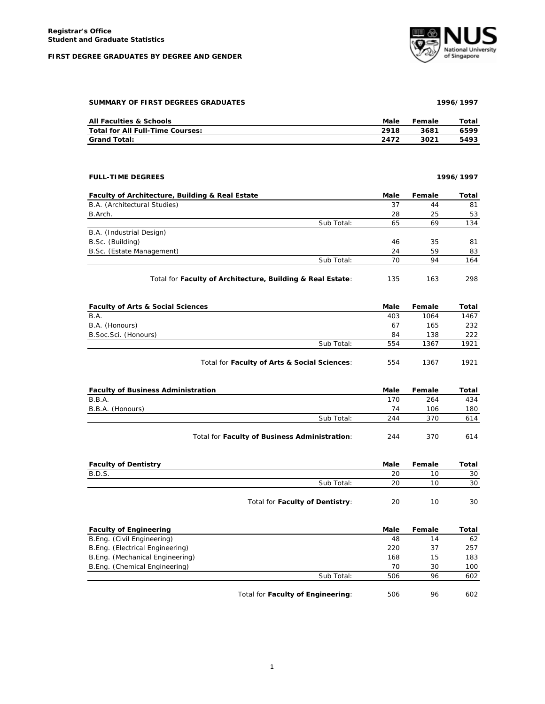## **FIRST DEGREE GRADUATES BY DEGREE AND GENDER**



**SUMMARY OF FIRST DEGREES GRADUATES 1996/1997**

| All Faculties & Schools          | Male | Female | Total |
|----------------------------------|------|--------|-------|
| Total for All Full-Time Courses: | 2918 | 3681   | 6599  |
| <b>Grand Total:</b>              | 2472 | 3021   | 5493  |

**FULL-TIME DEGREES 1996/1997**

| Faculty of Architecture, Building & Real Estate |            | Male | Female | Total |
|-------------------------------------------------|------------|------|--------|-------|
| B.A. (Architectural Studies)                    |            | 37   | 44     | 81    |
| B.Arch.                                         |            | 28   | 25     | 53    |
|                                                 | Sub Total: | 65   | 69     | 134   |
| B.A. (Industrial Design)                        |            |      |        |       |
| B.Sc. (Building)                                |            | 46   | 35     | 81    |
| B.Sc. (Estate Management)                       |            | 24   | 59     | 83    |
|                                                 | Sub Total: | 70   | 94     | 164   |

Total for Faculty of Architecture, Building & Real Estate: 135 163 298

| <b>Faculty of Arts &amp; Social Sciences</b> |                                              | Male | Female | Total |
|----------------------------------------------|----------------------------------------------|------|--------|-------|
| B.A.                                         |                                              | 403  | 1064   | 1467  |
| B.A. (Honours)                               |                                              | 67   | 165    | 232   |
| B. Soc. Sci. (Honours)                       |                                              | 84   | 138    | 222   |
|                                              | Sub Total:                                   | 554  | 1367   | 1921  |
|                                              | Total for Faculty of Arts & Social Sciences: | 554  | 1367   | 1921  |

| <b>Faculty of Business Administration</b> |                                               | Male | Female | Total |
|-------------------------------------------|-----------------------------------------------|------|--------|-------|
| B.B.A.                                    |                                               | 170  | 264    | 434   |
| B.B.A. (Honours)                          |                                               | 74   | 106    | 180   |
|                                           | Sub Total:                                    | 244  | 370    | 614   |
|                                           | Total for Faculty of Business Administration: | 244  | 370    | 614   |

| <b>Faculty of Dentistry</b> |                                 | Male | Female | Total |
|-----------------------------|---------------------------------|------|--------|-------|
| <b>B.D.S.</b>               |                                 | 20   | 10     | 30    |
|                             | Sub Total:                      | 20   | 10     | 30    |
|                             | Total for Faculty of Dentistry: | 20   | 10     | 30    |

| <b>Faculty of Engineering</b>   |                                   | Male | Female | Total |
|---------------------------------|-----------------------------------|------|--------|-------|
| B.Eng. (Civil Engineering)      |                                   | 48   | 14     | 62    |
| B.Eng. (Electrical Engineering) |                                   | 220  | 37     | 257   |
| B.Eng. (Mechanical Engineering) |                                   | 168  | 15     | 183   |
| B.Eng. (Chemical Engineering)   |                                   | 70   | 30     | 100   |
|                                 | Sub Total:                        | 506  | 96     | 602   |
|                                 | Total for Faculty of Engineering: | 506  | 96     | 602   |